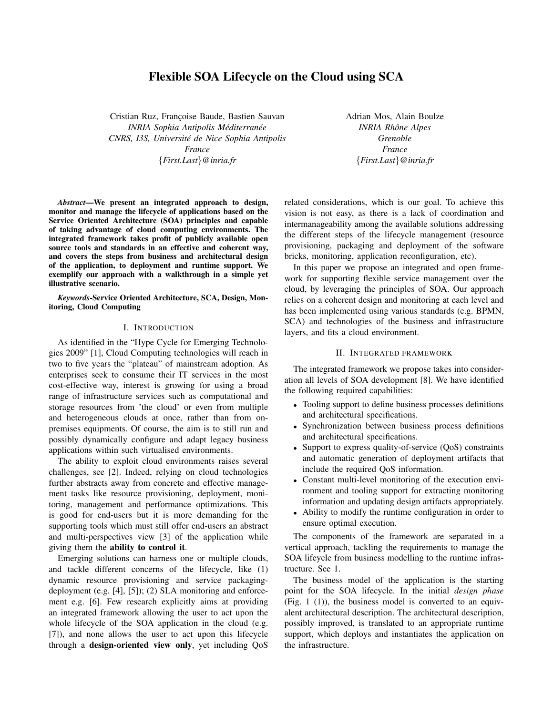# Flexible SOA Lifecycle on the Cloud using SCA

Cristian Ruz, Françoise Baude, Bastien Sauvan *INRIA Sophia Antipolis Méditerranée CNRS, I3S, Universite de Nice Sophia Antipolis ´ France* {*First.Last*}*@inria.fr*

Adrian Mos, Alain Boulze *INRIA Rhone Alpes ˆ Grenoble France* {*First.Last*}*@inria.fr*

*Abstract*—We present an integrated approach to design, monitor and manage the lifecycle of applications based on the Service Oriented Architecture (SOA) principles and capable of taking advantage of cloud computing environments. The integrated framework takes profit of publicly available open source tools and standards in an effective and coherent way, and covers the steps from business and architectural design of the application, to deployment and runtime support. We exemplify our approach with a walkthrough in a simple yet illustrative scenario.

*Keywords*-Service Oriented Architecture, SCA, Design, Monitoring, Cloud Computing

## I. INTRODUCTION

As identified in the "Hype Cycle for Emerging Technologies 2009" [1], Cloud Computing technologies will reach in two to five years the "plateau" of mainstream adoption. As enterprises seek to consume their IT services in the most cost-effective way, interest is growing for using a broad range of infrastructure services such as computational and storage resources from 'the cloud' or even from multiple and heterogeneous clouds at once, rather than from onpremises equipments. Of course, the aim is to still run and possibly dynamically configure and adapt legacy business applications within such virtualised environments.

The ability to exploit cloud environments raises several challenges, see [2]. Indeed, relying on cloud technologies further abstracts away from concrete and effective management tasks like resource provisioning, deployment, monitoring, management and performance optimizations. This is good for end-users but it is more demanding for the supporting tools which must still offer end-users an abstract and multi-perspectives view [3] of the application while giving them the ability to control it.

Emerging solutions can harness one or multiple clouds, and tackle different concerns of the lifecycle, like (1) dynamic resource provisioning and service packagingdeployment (e.g. [4], [5]); (2) SLA monitoring and enforcement e.g. [6]. Few research explicitly aims at providing an integrated framework allowing the user to act upon the whole lifecycle of the SOA application in the cloud (e.g. [7]), and none allows the user to act upon this lifecycle through a design-oriented view only, yet including QoS related considerations, which is our goal. To achieve this vision is not easy, as there is a lack of coordination and intermanageability among the available solutions addressing the different steps of the lifecycle management (resource provisioning, packaging and deployment of the software bricks, monitoring, application reconfiguration, etc).

In this paper we propose an integrated and open framework for supporting flexible service management over the cloud, by leveraging the principles of SOA. Our approach relies on a coherent design and monitoring at each level and has been implemented using various standards (e.g. BPMN, SCA) and technologies of the business and infrastructure layers, and fits a cloud environment.

# II. INTEGRATED FRAMEWORK

The integrated framework we propose takes into consideration all levels of SOA development [8]. We have identified the following required capabilities:

- Tooling support to define business processes definitions and architectural specifications.
- Synchronization between business process definitions and architectural specifications.
- Support to express quality-of-service (QoS) constraints and automatic generation of deployment artifacts that include the required QoS information.
- Constant multi-level monitoring of the execution environment and tooling support for extracting monitoring information and updating design artifacts appropriately.
- Ability to modify the runtime configuration in order to ensure optimal execution.

The components of the framework are separated in a vertical approach, tackling the requirements to manage the SOA lifeycle from business modelling to the runtime infrastructure. See 1.

The business model of the application is the starting point for the SOA lifecycle. In the initial *design phase* (Fig. 1 (1)), the business model is converted to an equivalent architectural description. The architectural description, possibly improved, is translated to an appropriate runtime support, which deploys and instantiates the application on the infrastructure.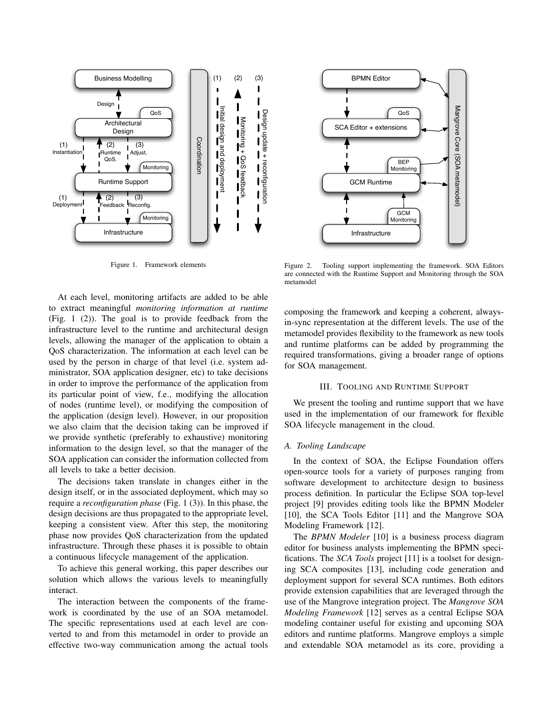

Figure 1. Framework elements

At each level, monitoring artifacts are added to be able to extract meaningful *monitoring information at runtime* (Fig. 1 (2)). The goal is to provide feedback from the infrastructure level to the runtime and architectural design levels, allowing the manager of the application to obtain a QoS characterization. The information at each level can be used by the person in charge of that level (i.e. system administrator, SOA application designer, etc) to take decisions in order to improve the performance of the application from its particular point of view, f.e., modifying the allocation of nodes (runtime level), or modifying the composition of the application (design level). However, in our proposition we also claim that the decision taking can be improved if we provide synthetic (preferably to exhaustive) monitoring information to the design level, so that the manager of the SOA application can consider the information collected from all levels to take a better decision.

The decisions taken translate in changes either in the design itself, or in the associated deployment, which may so require a *reconfiguration phase* (Fig. 1 (3)). In this phase, the design decisions are thus propagated to the appropriate level, keeping a consistent view. After this step, the monitoring phase now provides QoS characterization from the updated infrastructure. Through these phases it is possible to obtain a continuous lifecycle management of the application.

To achieve this general working, this paper describes our solution which allows the various levels to meaningfully interact.

The interaction between the components of the framework is coordinated by the use of an SOA metamodel. The specific representations used at each level are converted to and from this metamodel in order to provide an effective two-way communication among the actual tools



Figure 2. Tooling support implementing the framework. SOA Editors are connected with the Runtime Support and Monitoring through the SOA metamodel

composing the framework and keeping a coherent, alwaysin-sync representation at the different levels. The use of the metamodel provides flexibility to the framework as new tools and runtime platforms can be added by programming the required transformations, giving a broader range of options for SOA management.

#### III. TOOLING AND RUNTIME SUPPORT

We present the tooling and runtime support that we have used in the implementation of our framework for flexible SOA lifecycle management in the cloud.

## *A. Tooling Landscape*

In the context of SOA, the Eclipse Foundation offers open-source tools for a variety of purposes ranging from software development to architecture design to business process definition. In particular the Eclipse SOA top-level project [9] provides editing tools like the BPMN Modeler [10], the SCA Tools Editor [11] and the Mangrove SOA Modeling Framework [12].

The *BPMN Modeler* [10] is a business process diagram editor for business analysts implementing the BPMN specifications. The *SCA Tools* project [11] is a toolset for designing SCA composites [13], including code generation and deployment support for several SCA runtimes. Both editors provide extension capabilities that are leveraged through the use of the Mangrove integration project. The *Mangrove SOA Modeling Framework* [12] serves as a central Eclipse SOA modeling container useful for existing and upcoming SOA editors and runtime platforms. Mangrove employs a simple and extendable SOA metamodel as its core, providing a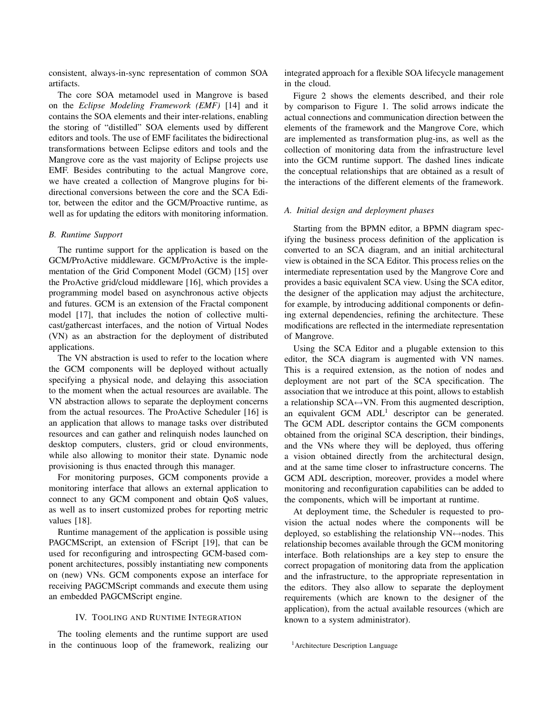consistent, always-in-sync representation of common SOA artifacts.

The core SOA metamodel used in Mangrove is based on the *Eclipse Modeling Framework (EMF)* [14] and it contains the SOA elements and their inter-relations, enabling the storing of "distilled" SOA elements used by different editors and tools. The use of EMF facilitates the bidirectional transformations between Eclipse editors and tools and the Mangrove core as the vast majority of Eclipse projects use EMF. Besides contributing to the actual Mangrove core, we have created a collection of Mangrove plugins for bidirectional conversions between the core and the SCA Editor, between the editor and the GCM/Proactive runtime, as well as for updating the editors with monitoring information.

#### *B. Runtime Support*

The runtime support for the application is based on the GCM/ProActive middleware. GCM/ProActive is the implementation of the Grid Component Model (GCM) [15] over the ProActive grid/cloud middleware [16], which provides a programming model based on asynchronous active objects and futures. GCM is an extension of the Fractal component model [17], that includes the notion of collective multicast/gathercast interfaces, and the notion of Virtual Nodes (VN) as an abstraction for the deployment of distributed applications.

The VN abstraction is used to refer to the location where the GCM components will be deployed without actually specifying a physical node, and delaying this association to the moment when the actual resources are available. The VN abstraction allows to separate the deployment concerns from the actual resources. The ProActive Scheduler [16] is an application that allows to manage tasks over distributed resources and can gather and relinquish nodes launched on desktop computers, clusters, grid or cloud environments, while also allowing to monitor their state. Dynamic node provisioning is thus enacted through this manager.

For monitoring purposes, GCM components provide a monitoring interface that allows an external application to connect to any GCM component and obtain QoS values, as well as to insert customized probes for reporting metric values [18].

Runtime management of the application is possible using PAGCMScript, an extension of FScript [19], that can be used for reconfiguring and introspecting GCM-based component architectures, possibly instantiating new components on (new) VNs. GCM components expose an interface for receiving PAGCMScript commands and execute them using an embedded PAGCMScript engine.

## IV. TOOLING AND RUNTIME INTEGRATION

The tooling elements and the runtime support are used in the continuous loop of the framework, realizing our integrated approach for a flexible SOA lifecycle management in the cloud.

Figure 2 shows the elements described, and their role by comparison to Figure 1. The solid arrows indicate the actual connections and communication direction between the elements of the framework and the Mangrove Core, which are implemented as transformation plug-ins, as well as the collection of monitoring data from the infrastructure level into the GCM runtime support. The dashed lines indicate the conceptual relationships that are obtained as a result of the interactions of the different elements of the framework.

# *A. Initial design and deployment phases*

Starting from the BPMN editor, a BPMN diagram specifying the business process definition of the application is converted to an SCA diagram, and an initial architectural view is obtained in the SCA Editor. This process relies on the intermediate representation used by the Mangrove Core and provides a basic equivalent SCA view. Using the SCA editor, the designer of the application may adjust the architecture, for example, by introducing additional components or defining external dependencies, refining the architecture. These modifications are reflected in the intermediate representation of Mangrove.

Using the SCA Editor and a plugable extension to this editor, the SCA diagram is augmented with VN names. This is a required extension, as the notion of nodes and deployment are not part of the SCA specification. The association that we introduce at this point, allows to establish a relationship  $SCA \leftrightarrow VN$ . From this augmented description, an equivalent GCM  $ADL<sup>1</sup>$  descriptor can be generated. The GCM ADL descriptor contains the GCM components obtained from the original SCA description, their bindings, and the VNs where they will be deployed, thus offering a vision obtained directly from the architectural design, and at the same time closer to infrastructure concerns. The GCM ADL description, moreover, provides a model where monitoring and reconfiguration capabilities can be added to the components, which will be important at runtime.

At deployment time, the Scheduler is requested to provision the actual nodes where the components will be deployed, so establishing the relationship  $VN\leftrightarrow$ nodes. This relationship becomes available through the GCM monitoring interface. Both relationships are a key step to ensure the correct propagation of monitoring data from the application and the infrastructure, to the appropriate representation in the editors. They also allow to separate the deployment requirements (which are known to the designer of the application), from the actual available resources (which are known to a system administrator).

<sup>1</sup> Architecture Description Language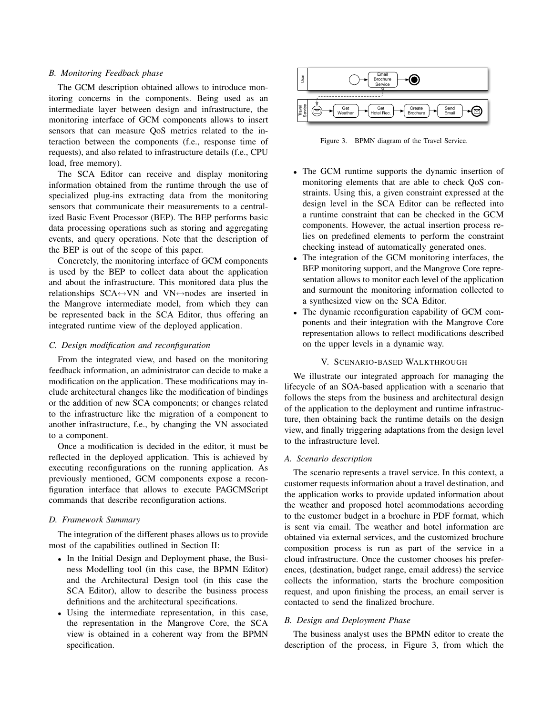# *B. Monitoring Feedback phase*

The GCM description obtained allows to introduce monitoring concerns in the components. Being used as an intermediate layer between design and infrastructure, the monitoring interface of GCM components allows to insert sensors that can measure QoS metrics related to the interaction between the components (f.e., response time of requests), and also related to infrastructure details (f.e., CPU load, free memory).

The SCA Editor can receive and display monitoring information obtained from the runtime through the use of specialized plug-ins extracting data from the monitoring sensors that communicate their measurements to a centralized Basic Event Processor (BEP). The BEP performs basic data processing operations such as storing and aggregating events, and query operations. Note that the description of the BEP is out of the scope of this paper.

Concretely, the monitoring interface of GCM components is used by the BEP to collect data about the application and about the infrastructure. This monitored data plus the relationships  $SCA \leftrightarrow VN$  and  $VN \leftrightarrow$ nodes are inserted in the Mangrove intermediate model, from which they can be represented back in the SCA Editor, thus offering an integrated runtime view of the deployed application.

#### *C. Design modification and reconfiguration*

From the integrated view, and based on the monitoring feedback information, an administrator can decide to make a modification on the application. These modifications may include architectural changes like the modification of bindings or the addition of new SCA components; or changes related to the infrastructure like the migration of a component to another infrastructure, f.e., by changing the VN associated to a component.

Once a modification is decided in the editor, it must be reflected in the deployed application. This is achieved by executing reconfigurations on the running application. As previously mentioned, GCM components expose a reconfiguration interface that allows to execute PAGCMScript commands that describe reconfiguration actions.

## *D. Framework Summary*

The integration of the different phases allows us to provide most of the capabilities outlined in Section II:

- In the Initial Design and Deployment phase, the Business Modelling tool (in this case, the BPMN Editor) and the Architectural Design tool (in this case the SCA Editor), allow to describe the business process definitions and the architectural specifications.
- Using the intermediate representation, in this case, the representation in the Mangrove Core, the SCA view is obtained in a coherent way from the BPMN specification.



Figure 3. BPMN diagram of the Travel Service.

- The GCM runtime supports the dynamic insertion of monitoring elements that are able to check QoS constraints. Using this, a given constraint expressed at the design level in the SCA Editor can be reflected into a runtime constraint that can be checked in the GCM components. However, the actual insertion process relies on predefined elements to perform the constraint checking instead of automatically generated ones.
- The integration of the GCM monitoring interfaces, the BEP monitoring support, and the Mangrove Core representation allows to monitor each level of the application and surmount the monitoring information collected to a synthesized view on the SCA Editor.
- The dynamic reconfiguration capability of GCM components and their integration with the Mangrove Core representation allows to reflect modifications described on the upper levels in a dynamic way.

## V. SCENARIO-BASED WALKTHROUGH

We illustrate our integrated approach for managing the lifecycle of an SOA-based application with a scenario that follows the steps from the business and architectural design of the application to the deployment and runtime infrastructure, then obtaining back the runtime details on the design view, and finally triggering adaptations from the design level to the infrastructure level.

#### *A. Scenario description*

The scenario represents a travel service. In this context, a customer requests information about a travel destination, and the application works to provide updated information about the weather and proposed hotel acommodations according to the customer budget in a brochure in PDF format, which is sent via email. The weather and hotel information are obtained via external services, and the customized brochure composition process is run as part of the service in a cloud infrastructure. Once the customer chooses his preferences, (destination, budget range, email address) the service collects the information, starts the brochure composition request, and upon finishing the process, an email server is contacted to send the finalized brochure.

# *B. Design and Deployment Phase*

The business analyst uses the BPMN editor to create the description of the process, in Figure 3, from which the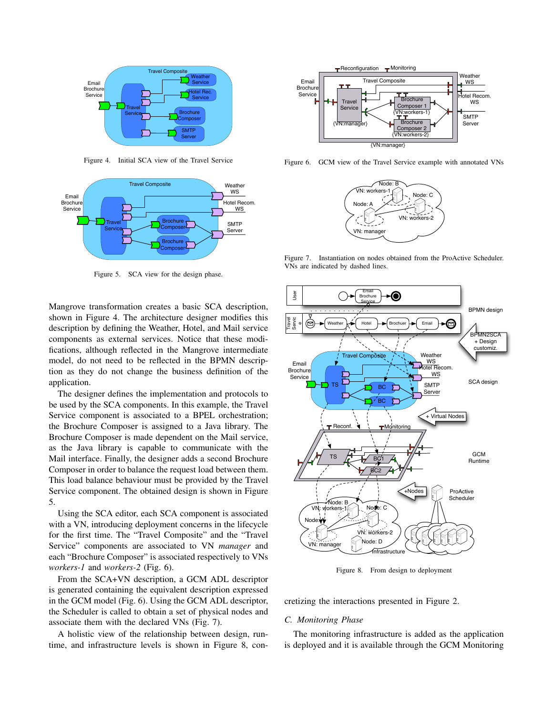

Figure 4. Initial SCA view of the Travel Service



Figure 5. SCA view for the design phase.

Mangrove transformation creates a basic SCA description, shown in Figure 4. The architecture designer modifies this description by defining the Weather, Hotel, and Mail service components as external services. Notice that these modifications, although reflected in the Mangrove intermediate model, do not need to be reflected in the BPMN description as they do not change the business definition of the application.

The designer defines the implementation and protocols to be used by the SCA components. In this example, the Travel Service component is associated to a BPEL orchestration; the Brochure Composer is assigned to a Java library. The Brochure Composer is made dependent on the Mail service, as the Java library is capable to communicate with the Mail interface. Finally, the designer adds a second Brochure Composer in order to balance the request load between them. This load balance behaviour must be provided by the Travel Service component. The obtained design is shown in Figure 5.

Using the SCA editor, each SCA component is associated with a VN, introducing deployment concerns in the lifecycle for the first time. The "Travel Composite" and the "Travel Service" components are associated to VN *manager* and each "Brochure Composer" is associated respectively to VNs *workers-1* and *workers-2* (Fig. 6).

From the SCA+VN description, a GCM ADL descriptor is generated containing the equivalent description expressed in the GCM model (Fig. 6). Using the GCM ADL descriptor, the Scheduler is called to obtain a set of physical nodes and associate them with the declared VNs (Fig. 7).

A holistic view of the relationship between design, runtime, and infrastructure levels is shown in Figure 8, con-



Figure 6. GCM view of the Travel Service example with annotated VNs



Figure 7. Instantiation on nodes obtained from the ProActive Scheduler. VNs are indicated by dashed lines.



Figure 8. From design to deployment

cretizing the interactions presented in Figure 2.

#### *C. Monitoring Phase*

The monitoring infrastructure is added as the application is deployed and it is available through the GCM Monitoring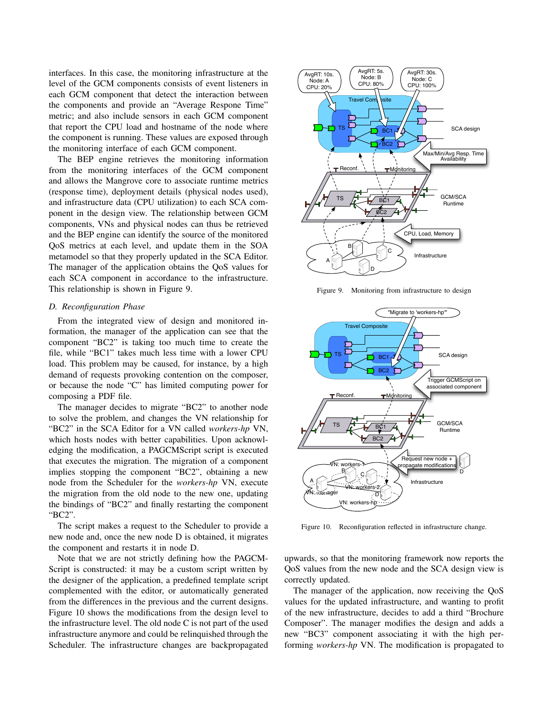interfaces. In this case, the monitoring infrastructure at the level of the GCM components consists of event listeners in each GCM component that detect the interaction between the components and provide an "Average Respone Time" metric; and also include sensors in each GCM component that report the CPU load and hostname of the node where the component is running. These values are exposed through the monitoring interface of each GCM component.

The BEP engine retrieves the monitoring information from the monitoring interfaces of the GCM component and allows the Mangrove core to associate runtime metrics (response time), deployment details (physical nodes used), and infrastructure data (CPU utilization) to each SCA component in the design view. The relationship between GCM components, VNs and physical nodes can thus be retrieved and the BEP engine can identify the source of the monitored QoS metrics at each level, and update them in the SOA metamodel so that they properly updated in the SCA Editor. The manager of the application obtains the QoS values for each SCA component in accordance to the infrastructure. This relationship is shown in Figure 9.

# *D. Reconfiguration Phase*

From the integrated view of design and monitored information, the manager of the application can see that the component "BC2" is taking too much time to create the file, while "BC1" takes much less time with a lower CPU load. This problem may be caused, for instance, by a high demand of requests provoking contention on the composer, or because the node "C" has limited computing power for composing a PDF file.

The manager decides to migrate "BC2" to another node to solve the problem, and changes the VN relationship for "BC2" in the SCA Editor for a VN called *workers-hp* VN, which hosts nodes with better capabilities. Upon acknowledging the modification, a PAGCMScript script is executed that executes the migration. The migration of a component implies stopping the component "BC2", obtaining a new node from the Scheduler for the *workers-hp* VN, execute the migration from the old node to the new one, updating the bindings of "BC2" and finally restarting the component "BC2".

The script makes a request to the Scheduler to provide a new node and, once the new node D is obtained, it migrates the component and restarts it in node D.

Note that we are not strictly defining how the PAGCM-Script is constructed: it may be a custom script written by the designer of the application, a predefined template script complemented with the editor, or automatically generated from the differences in the previous and the current designs. Figure 10 shows the modifications from the design level to the infrastructure level. The old node C is not part of the used infrastructure anymore and could be relinquished through the Scheduler. The infrastructure changes are backpropagated



Figure 9. Monitoring from infrastructure to design



Figure 10. Reconfiguration reflected in infrastructure change.

upwards, so that the monitoring framework now reports the QoS values from the new node and the SCA design view is correctly updated.

The manager of the application, now receiving the QoS values for the updated infrastructure, and wanting to profit of the new infrastructure, decides to add a third "Brochure Composer". The manager modifies the design and adds a new "BC3" component associating it with the high performing *workers-hp* VN. The modification is propagated to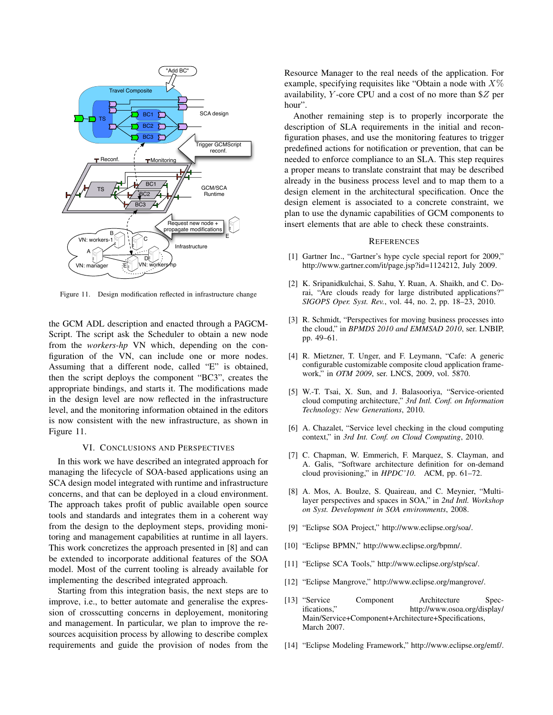

Figure 11. Design modification reflected in infrastructure change

the GCM ADL description and enacted through a PAGCM-Script. The script ask the Scheduler to obtain a new node from the *workers-hp* VN which, depending on the configuration of the VN, can include one or more nodes. Assuming that a different node, called "E" is obtained, then the script deploys the component "BC3", creates the appropriate bindings, and starts it. The modifications made in the design level are now reflected in the infrastructure level, and the monitoring information obtained in the editors is now consistent with the new infrastructure, as shown in Figure 11.

## VI. CONCLUSIONS AND PERSPECTIVES

In this work we have described an integrated approach for managing the lifecycle of SOA-based applications using an SCA design model integrated with runtime and infrastructure concerns, and that can be deployed in a cloud environment. The approach takes profit of public available open source tools and standards and integrates them in a coherent way from the design to the deployment steps, providing monitoring and management capabilities at runtime in all layers. This work concretizes the approach presented in [8] and can be extended to incorporate additional features of the SOA model. Most of the current tooling is already available for implementing the described integrated approach.

Starting from this integration basis, the next steps are to improve, i.e., to better automate and generalise the expression of crosscutting concerns in deployement, monitoring and management. In particular, we plan to improve the resources acquisition process by allowing to describe complex requirements and guide the provision of nodes from the Resource Manager to the real needs of the application. For example, specifying requisites like "Obtain a node with  $X\%$ availability, Y -core CPU and a cost of no more than \$Z per hour".

Another remaining step is to properly incorporate the description of SLA requirements in the initial and reconfiguration phases, and use the monitoring features to trigger predefined actions for notification or prevention, that can be needed to enforce compliance to an SLA. This step requires a proper means to translate constraint that may be described already in the business process level and to map them to a design element in the architectural specification. Once the design element is associated to a concrete constraint, we plan to use the dynamic capabilities of GCM components to insert elements that are able to check these constraints.

# **REFERENCES**

- [1] Gartner Inc., "Gartner's hype cycle special report for 2009," http://www.gartner.com/it/page.jsp?id=1124212, July 2009.
- [2] K. Sripanidkulchai, S. Sahu, Y. Ruan, A. Shaikh, and C. Dorai, "Are clouds ready for large distributed applications?" *SIGOPS Oper. Syst. Rev.*, vol. 44, no. 2, pp. 18–23, 2010.
- [3] R. Schmidt, "Perspectives for moving business processes into the cloud," in *BPMDS 2010 and EMMSAD 2010*, ser. LNBIP, pp. 49–61.
- [4] R. Mietzner, T. Unger, and F. Leymann, "Cafe: A generic configurable customizable composite cloud application framework," in *OTM 2009*, ser. LNCS, 2009, vol. 5870.
- [5] W.-T. Tsai, X. Sun, and J. Balasooriya, "Service-oriented cloud computing architecture," *3rd Intl. Conf. on Information Technology: New Generations*, 2010.
- [6] A. Chazalet, "Service level checking in the cloud computing context," in *3rd Int. Conf. on Cloud Computing*, 2010.
- [7] C. Chapman, W. Emmerich, F. Marquez, S. Clayman, and A. Galis, "Software architecture definition for on-demand cloud provisioning," in *HPDC'10*. ACM, pp. 61–72.
- [8] A. Mos, A. Boulze, S. Quaireau, and C. Meynier, "Multilayer perspectives and spaces in SOA," in *2nd Intl. Workshop on Syst. Development in SOA environments*, 2008.
- [9] "Eclipse SOA Project," http://www.eclipse.org/soa/.
- [10] "Eclipse BPMN," http://www.eclipse.org/bpmn/.
- [11] "Eclipse SCA Tools," http://www.eclipse.org/stp/sca/.
- [12] "Eclipse Mangrove," http://www.eclipse.org/mangrove/.
- [13] "Service Component Architecture Spec-<br>
ifications." http://www.osoa.org/display/ http://www.osoa.org/display/ Main/Service+Component+Architecture+Specifications, March 2007.
- [14] "Eclipse Modeling Framework," http://www.eclipse.org/emf/.